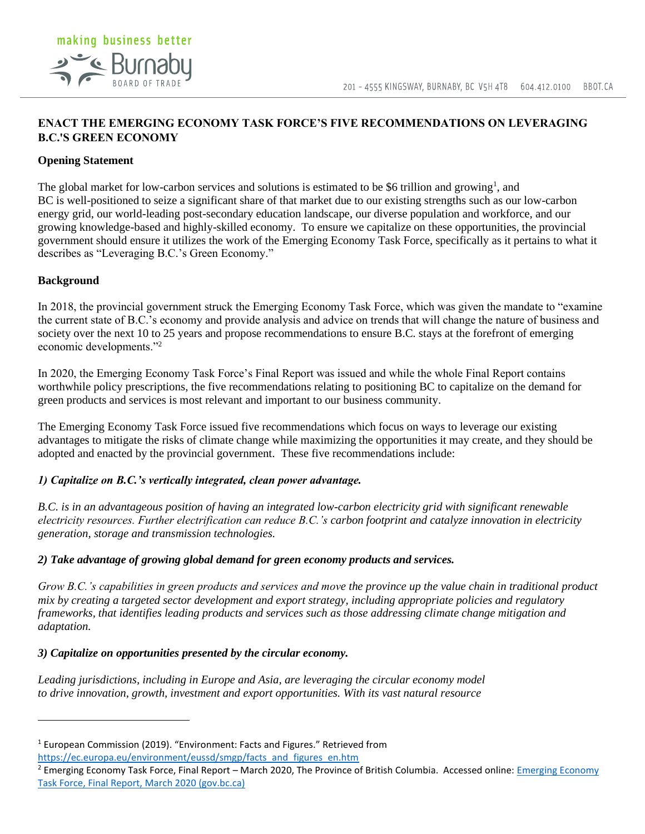# **ENACT THE EMERGING ECONOMY TASK FORCE'S FIVE RECOMMENDATIONS ON LEVERAGING B.C.'S GREEN ECONOMY**

### **Opening Statement**

making business better

**2<sup>-</sup>C** Burnabu

The global market for low-carbon services and solutions is estimated to be \$6 trillion and growing<sup>1</sup>, and BC is well-positioned to seize a significant share of that market due to our existing strengths such as our low-carbon energy grid, our world-leading post-secondary education landscape, our diverse population and workforce, and our growing knowledge-based and highly-skilled economy. To ensure we capitalize on these opportunities, the provincial government should ensure it utilizes the work of the Emerging Economy Task Force, specifically as it pertains to what it describes as "Leveraging B.C.'s Green Economy."

#### **Background**

In 2018, the provincial government struck the Emerging Economy Task Force, which was given the mandate to "examine the current state of B.C.'s economy and provide analysis and advice on trends that will change the nature of business and society over the next 10 to 25 years and propose recommendations to ensure B.C. stays at the forefront of emerging economic developments."<sup>2</sup>

In 2020, the Emerging Economy Task Force's Final Report was issued and while the whole Final Report contains worthwhile policy prescriptions, the five recommendations relating to positioning BC to capitalize on the demand for green products and services is most relevant and important to our business community.

The Emerging Economy Task Force issued five recommendations which focus on ways to leverage our existing advantages to mitigate the risks of climate change while maximizing the opportunities it may create, and they should be adopted and enacted by the provincial government. These five recommendations include:

#### *1) Capitalize on B.C.'s vertically integrated, clean power advantage.*

*B.C. is in an advantageous position of having an integrated low-carbon electricity grid with significant renewable electricity resources. Further electrification can reduce B.C.'s carbon footprint and catalyze innovation in electricity generation, storage and transmission technologies.*

#### *2) Take advantage of growing global demand for green economy products and services.*

*Grow B.C.'s capabilities in green products and services and move the province up the value chain in traditional product mix by creating a targeted sector development and export strategy, including appropriate policies and regulatory frameworks, that identifies leading products and services such as those addressing climate change mitigation and adaptation.*

#### *3) Capitalize on opportunities presented by the circular economy.*

*Leading jurisdictions, including in Europe and Asia, are leveraging the circular economy model to drive innovation, growth, investment and export opportunities. With its vast natural resource*

<sup>&</sup>lt;sup>1</sup> European Commission (2019). "Environment: Facts and Figures." Retrieved from [https://ec.europa.eu/environment/eussd/smgp/facts\\_and\\_figures\\_en.htm](https://ec.europa.eu/environment/eussd/smgp/facts_and_figures_en.htm)

<sup>&</sup>lt;sup>2</sup> [Emerging Economy](https://www2.gov.bc.ca/assets/gov/employment-business-and-economic-development/economic-development/emerging-economy-task-force/eetf-final_report-20200511-final.pdf) Task Force, Final Report – March 2020, The Province of British Columbia. Accessed online: Emerging Economy [Task Force, Final Report, March 2020 \(gov.bc.ca\)](https://www2.gov.bc.ca/assets/gov/employment-business-and-economic-development/economic-development/emerging-economy-task-force/eetf-final_report-20200511-final.pdf)